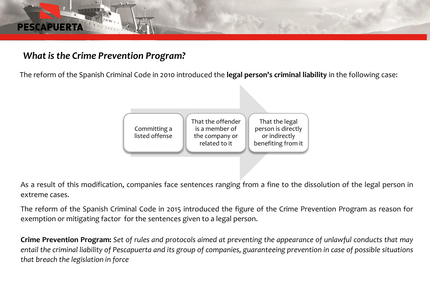## *What is the Crime Prevention Program?*

**PESCAPU** 

The reform of the Spanish Criminal Code in 2010 introduced the **legal person's criminal liability** in the following case:



As a result of this modification, companies face sentences ranging from a fine to the dissolution of the legal person in extreme cases.

The reform of the Spanish Criminal Code in 2015 introduced the figure of the Crime Prevention Program as reason for exemption or mitigating factor for the sentences given to a legal person.

**Crime Prevention Program:** Set of rules and protocols aimed at preventing the appearance of unlawful conducts that may entail the criminal liability of Pescapuerta and its group of companies, guaranteeing prevention in case of possible situations *that breach the legislation in force*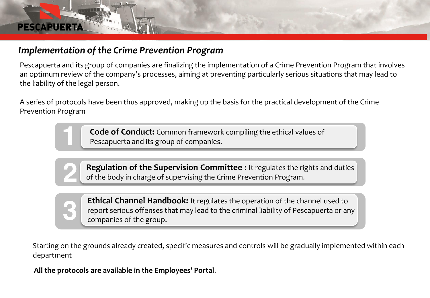# *Implementation of the Crime Prevention Program*

**PESCAPUE** 

Pescapuerta and its group of companies are finalizing the implementation of a Crime Prevention Program that involves an optimum review of the company's processes, aiming at preventing particularly serious situations that may lead to the liability of the legal person.

A series of protocols have been thus approved, making up the basis for the practical development of the Crime Prevention Program

> **Code of Conduct:** Common framework compiling the ethical values of Pescapuerta and its group of companies.

**Regulation of the Supervision Committee :** It regulates the rights and duties of the body in charge of supervising the Crime Prevention Program.

**Ethical Channel Handbook:** It regulates the operation of the channel used to report serious offenses that may lead to the criminal liability of Pescapuerta or any companies of the group.

Starting on the grounds already created, specific measures and controls will be gradually implemented within each department

**All the protocols are available in the Employees' Portal**.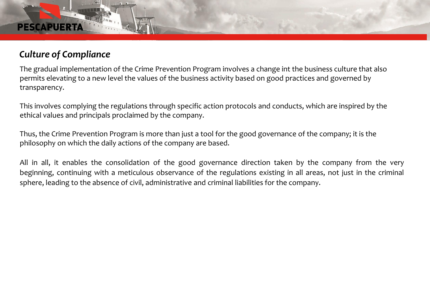#### **PESCAPU**

### *Culture of Compliance*

The gradual implementation of the Crime Prevention Program involves a change int the business culture that also permits elevating to a new level the values of the business activity based on good practices and governed by transparency.

This involves complying the regulations through specific action protocols and conducts, which are inspired by the ethical values and principals proclaimed by the company.

Thus, the Crime Prevention Program is more than just a tool for the good governance of the company; it is the philosophy on which the daily actions of the company are based.

All in all, it enables the consolidation of the good governance direction taken by the company from the very beginning, continuing with a meticulous observance of the regulations existing in all areas, not just in the criminal sphere, leading to the absence of civil, administrative and criminal liabilities for the company.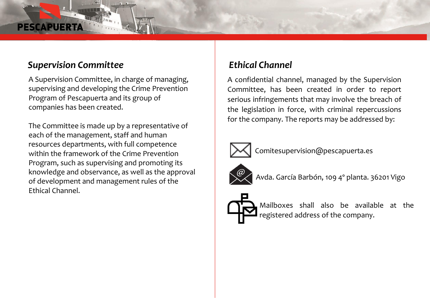### *Supervision Committee*

A Supervision Committee, in charge of managing, supervising and developing the Crime Prevention Program of Pescapuerta and its group of companies has been created.

The Committee is made up by a representative of each of the management, staff and human resources departments, with full competence within the framework of the Crime Prevention Program, such as supervising and promoting its knowledge and observance, as well as the approval of development and management rules of the Ethical Channel.

### *Ethical Channel*

A confidential channel, managed by the Supervision Committee, has been created in order to report serious infringements that may involve the breach of the legislation in force, with criminal repercussions for the company. The reports may be addressed by:



Comitesupervision@pescapuerta.es



Avda. García Barbón, 109 4º planta. 36201 Vigo



Mailboxes shall also be available at the registered address of the company.